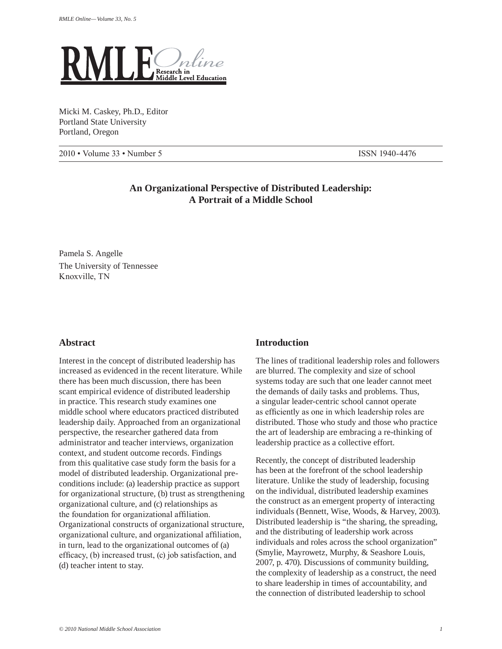

Micki M. Caskey, Ph.D., Editor Portland State University Portland, Oregon

2010 • Volume 33 • Number 5 ISSN 1940-4476

# **An Organizational Perspective of Distributed Leadership: A Portrait of a Middle School**

Pamela S. Angelle The University of Tennessee Knoxville, TN

# **Abstract**

Interest in the concept of distributed leadership has increased as evidenced in the recent literature. While there has been much discussion, there has been scant empirical evidence of distributed leadership in practice. This research study examines one middle school where educators practiced distributed leadership daily. Approached from an organizational perspective, the researcher gathered data from administrator and teacher interviews, organization context, and student outcome records. Findings from this qualitative case study form the basis for a model of distributed leadership. Organizational preconditions include: (a) leadership practice as support for organizational structure, (b) trust as strengthening organizational culture, and (c) relationships as the foundation for organizational affiliation. Organizational constructs of organizational structure, organizational culture, and organizational affiliation, in turn, lead to the organizational outcomes of (a) efficacy, (b) increased trust, (c) job satisfaction, and (d) teacher intent to stay.

### **Introduction**

The lines of traditional leadership roles and followers are blurred. The complexity and size of school systems today are such that one leader cannot meet the demands of daily tasks and problems. Thus, a singular leader-centric school cannot operate as efficiently as one in which leadership roles are distributed. Those who study and those who practice the art of leadership are embracing a re-thinking of leadership practice as a collective effort.

Recently, the concept of distributed leadership has been at the forefront of the school leadership literature. Unlike the study of leadership, focusing on the individual, distributed leadership examines the construct as an emergent property of interacting individuals (Bennett, Wise, Woods, & Harvey, 2003). Distributed leadership is "the sharing, the spreading, and the distributing of leadership work across individuals and roles across the school organization" (Smylie, Mayrowetz, Murphy, & Seashore Louis, 2007, p. 470). Discussions of community building, the complexity of leadership as a construct, the need to share leadership in times of accountability, and the connection of distributed leadership to school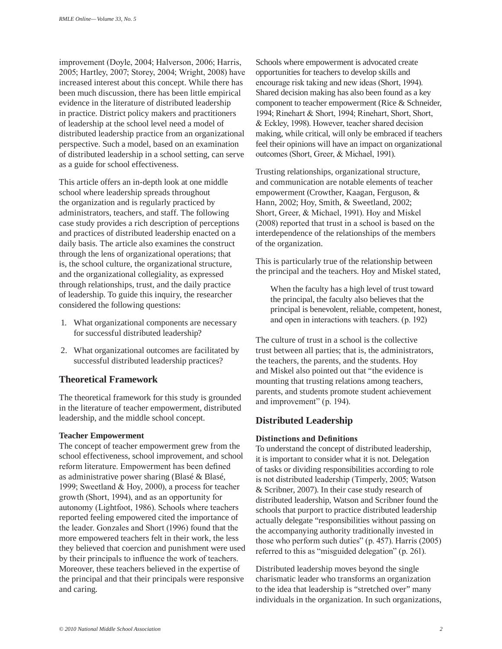improvement (Doyle, 2004; Halverson, 2006; Harris, 2005; Hartley, 2007; Storey, 2004; Wright, 2008) have increased interest about this concept. While there has been much discussion, there has been little empirical evidence in the literature of distributed leadership in practice. District policy makers and practitioners of leadership at the school level need a model of distributed leadership practice from an organizational perspective. Such a model, based on an examination of distributed leadership in a school setting, can serve as a guide for school effectiveness.

This article offers an in-depth look at one middle school where leadership spreads throughout the organization and is regularly practiced by administrators, teachers, and staff. The following case study provides a rich description of perceptions and practices of distributed leadership enacted on a daily basis. The article also examines the construct through the lens of organizational operations; that is, the school culture, the organizational structure, and the organizational collegiality, as expressed through relationships, trust, and the daily practice of leadership. To guide this inquiry, the researcher considered the following questions:

- 1. What organizational components are necessary for successful distributed leadership?
- 2. What organizational outcomes are facilitated by successful distributed leadership practices?

# **Theoretical Framework**

The theoretical framework for this study is grounded in the literature of teacher empowerment, distributed leadership, and the middle school concept.

#### **Teacher Empowerment**

The concept of teacher empowerment grew from the school effectiveness, school improvement, and school reform literature. Empowerment has been defined as administrative power sharing (Blasé & Blasé, 1999; Sweetland & Hoy, 2000), a process for teacher growth (Short, 1994), and as an opportunity for autonomy (Lightfoot, 1986). Schools where teachers reported feeling empowered cited the importance of the leader. Gonzales and Short (1996) found that the more empowered teachers felt in their work, the less they believed that coercion and punishment were used by their principals to influence the work of teachers. Moreover, these teachers believed in the expertise of the principal and that their principals were responsive and caring.

Schools where empowerment is advocated create opportunities for teachers to develop skills and encourage risk taking and new ideas (Short, 1994). Shared decision making has also been found as a key component to teacher empowerment (Rice & Schneider, 1994; Rinehart & Short, 1994; Rinehart, Short, Short, & Eckley, 1998). However, teacher shared decision making, while critical, will only be embraced if teachers feel their opinions will have an impact on organizational outcomes (Short, Greer, & Michael, 1991).

Trusting relationships, organizational structure, and communication are notable elements of teacher empowerment (Crowther, Kaagan, Ferguson, & Hann, 2002; Hoy, Smith, & Sweetland, 2002; Short, Greer, & Michael, 1991). Hoy and Miskel (2008) reported that trust in a school is based on the interdependence of the relationships of the members of the organization.

This is particularly true of the relationship between the principal and the teachers. Hoy and Miskel stated,

When the faculty has a high level of trust toward the principal, the faculty also believes that the principal is benevolent, reliable, competent, honest, and open in interactions with teachers. (p. 192)

The culture of trust in a school is the collective trust between all parties; that is, the administrators, the teachers, the parents, and the students. Hoy and Miskel also pointed out that "the evidence is mounting that trusting relations among teachers, parents, and students promote student achievement and improvement" (p. 194).

## **Distributed Leadership**

### **Distinctions and Definitions**

To understand the concept of distributed leadership, it is important to consider what it is not. Delegation of tasks or dividing responsibilities according to role is not distributed leadership (Timperly, 2005; Watson & Scribner, 2007). In their case study research of distributed leadership, Watson and Scribner found the schools that purport to practice distributed leadership actually delegate "responsibilities without passing on the accompanying authority traditionally invested in those who perform such duties" (p. 457). Harris (2005) referred to this as "misguided delegation" (p. 261).

Distributed leadership moves beyond the single charismatic leader who transforms an organization to the idea that leadership is "stretched over" many individuals in the organization. In such organizations,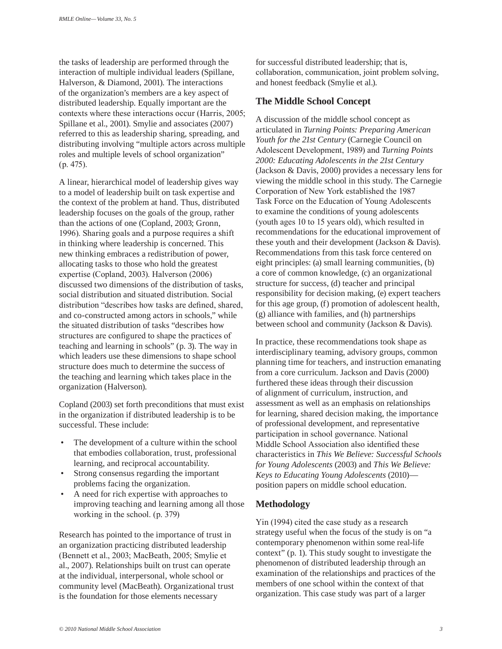the tasks of leadership are performed through the interaction of multiple individual leaders (Spillane, Halverson, & Diamond, 2001). The interactions of the organization's members are a key aspect of distributed leadership. Equally important are the contexts where these interactions occur (Harris, 2005; Spillane et al., 2001). Smylie and associates (2007) referred to this as leadership sharing, spreading, and distributing involving "multiple actors across multiple roles and multiple levels of school organization" (p. 475).

A linear, hierarchical model of leadership gives way to a model of leadership built on task expertise and the context of the problem at hand. Thus, distributed leadership focuses on the goals of the group, rather than the actions of one (Copland, 2003; Gronn, 1996). Sharing goals and a purpose requires a shift in thinking where leadership is concerned. This new thinking embraces a redistribution of power, allocating tasks to those who hold the greatest expertise (Copland, 2003). Halverson (2006) discussed two dimensions of the distribution of tasks, social distribution and situated distribution. Social distribution "describes how tasks are defined, shared, and co-constructed among actors in schools," while the situated distribution of tasks "describes how structures are configured to shape the practices of teaching and learning in schools" (p. 3). The way in which leaders use these dimensions to shape school structure does much to determine the success of the teaching and learning which takes place in the organization (Halverson).

Copland (2003) set forth preconditions that must exist in the organization if distributed leadership is to be successful. These include:

- The development of a culture within the school that embodies collaboration, trust, professional learning, and reciprocal accountability.
- Strong consensus regarding the important problems facing the organization.
- A need for rich expertise with approaches to improving teaching and learning among all those working in the school. (p. 379)

Research has pointed to the importance of trust in an organization practicing distributed leadership (Bennett et al., 2003; MacBeath, 2005; Smylie et al., 2007). Relationships built on trust can operate at the individual, interpersonal, whole school or community level (MacBeath). Organizational trust is the foundation for those elements necessary

for successful distributed leadership; that is, collaboration, communication, joint problem solving, and honest feedback (Smylie et al.).

## **The Middle School Concept**

A discussion of the middle school concept as articulated in *Turning Points: Preparing American Youth for the 21st Century* (Carnegie Council on Adolescent Development, 1989) and *Turning Points 2000: Educating Adolescents in the 21st Century* (Jackson & Davis, 2000) provides a necessary lens for viewing the middle school in this study. The Carnegie Corporation of New York established the 1987 Task Force on the Education of Young Adolescents to examine the conditions of young adolescents (youth ages 10 to 15 years old), which resulted in recommendations for the educational improvement of these youth and their development (Jackson & Davis). Recommendations from this task force centered on eight principles: (a) small learning communities, (b) a core of common knowledge, (c) an organizational structure for success, (d) teacher and principal responsibility for decision making, (e) expert teachers for this age group, (f) promotion of adolescent health, (g) alliance with families, and (h) partnerships between school and community (Jackson & Davis).

In practice, these recommendations took shape as interdisciplinary teaming, advisory groups, common planning time for teachers, and instruction emanating from a core curriculum. Jackson and Davis (2000) furthered these ideas through their discussion of alignment of curriculum, instruction, and assessment as well as an emphasis on relationships for learning, shared decision making, the importance of professional development, and representative participation in school governance. National Middle School Association also identified these characteristics in *This We Believe: Successful Schools for Young Adolescents* (2003) and *This We Believe: Keys to Educating Young Adolescents* (2010) position papers on middle school education.

# **Methodology**

Yin (1994) cited the case study as a research strategy useful when the focus of the study is on "a contemporary phenomenon within some real-life context" (p. 1). This study sought to investigate the phenomenon of distributed leadership through an examination of the relationships and practices of the members of one school within the context of that organization. This case study was part of a larger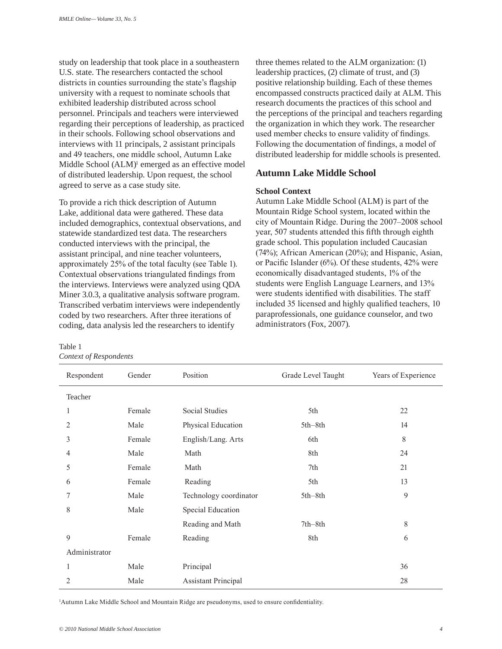study on leadership that took place in a southeastern U.S. state. The researchers contacted the school districts in counties surrounding the state's flagship university with a request to nominate schools that exhibited leadership distributed across school personnel. Principals and teachers were interviewed regarding their perceptions of leadership, as practiced in their schools. Following school observations and interviews with 11 principals, 2 assistant principals and 49 teachers, one middle school, Autumn Lake Middle School (ALM)<sup>1</sup> emerged as an effective model of distributed leadership. Upon request, the school agreed to serve as a case study site.

To provide a rich thick description of Autumn Lake, additional data were gathered. These data included demographics, contextual observations, and statewide standardized test data. The researchers conducted interviews with the principal, the assistant principal, and nine teacher volunteers, approximately 25% of the total faculty (see Table 1). Contextual observations triangulated findings from the interviews. Interviews were analyzed using QDA Miner 3.0.3, a qualitative analysis software program. Transcribed verbatim interviews were independently coded by two researchers. After three iterations of coding, data analysis led the researchers to identify

three themes related to the ALM organization: (1) leadership practices, (2) climate of trust, and (3) positive relationship building. Each of these themes encompassed constructs practiced daily at ALM. This research documents the practices of this school and the perceptions of the principal and teachers regarding the organization in which they work. The researcher used member checks to ensure validity of findings. Following the documentation of findings, a model of distributed leadership for middle schools is presented.

# **Autumn Lake Middle School**

### **School Context**

Autumn Lake Middle School (ALM) is part of the Mountain Ridge School system, located within the city of Mountain Ridge. During the 2007–2008 school year, 507 students attended this fifth through eighth grade school. This population included Caucasian (74%); African American (20%); and Hispanic, Asian, or Pacific Islander (6%). Of these students, 42% were economically disadvantaged students, 1% of the students were English Language Learners, and 13% were students identified with disabilities. The staff included 35 licensed and highly qualified teachers, 10 paraprofessionals, one guidance counselor, and two administrators (Fox, 2007).

| Respondent     | Gender | Position                   | Grade Level Taught | Years of Experience |
|----------------|--------|----------------------------|--------------------|---------------------|
| Teacher        |        |                            |                    |                     |
| 1              | Female | <b>Social Studies</b>      | 5th                | 22                  |
| $\overline{2}$ | Male   | Physical Education         | 5th-8th            | 14                  |
| 3              | Female | English/Lang. Arts         | 6th                | 8                   |
| 4              | Male   | Math                       | 8th                | 24                  |
| 5              | Female | Math                       | 7th                | 21                  |
| 6              | Female | Reading                    | 5th                | 13                  |
| 7              | Male   | Technology coordinator     | 5th-8th            | 9                   |
| 8              | Male   | Special Education          |                    |                     |
|                |        | Reading and Math           | 7th-8th            | 8                   |
| 9              | Female | Reading                    | 8th                | 6                   |
| Administrator  |        |                            |                    |                     |
| 1              | Male   | Principal                  |                    | 36                  |
| 2              | Male   | <b>Assistant Principal</b> |                    | 28                  |

Table 1 *Context of Respondents*

1 Autumn Lake Middle School and Mountain Ridge are pseudonyms, used to ensure confidentiality.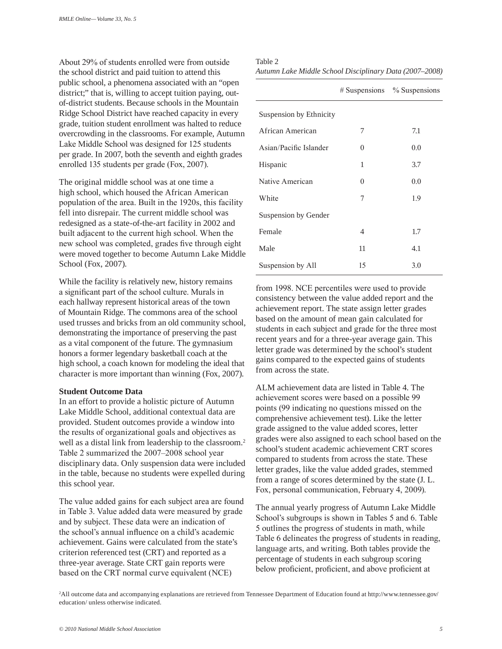About 29% of students enrolled were from outside the school district and paid tuition to attend this public school, a phenomena associated with an "open district;" that is, willing to accept tuition paying, outof-district students. Because schools in the Mountain Ridge School District have reached capacity in every grade, tuition student enrollment was halted to reduce overcrowding in the classrooms. For example, Autumn Lake Middle School was designed for 125 students per grade. In 2007, both the seventh and eighth grades enrolled 135 students per grade (Fox, 2007).

The original middle school was at one time a high school, which housed the African American population of the area. Built in the 1920s, this facility fell into disrepair. The current middle school was redesigned as a state-of-the-art facility in 2002 and built adjacent to the current high school. When the new school was completed, grades five through eight were moved together to become Autumn Lake Middle School (Fox, 2007).

While the facility is relatively new, history remains a significant part of the school culture. Murals in each hallway represent historical areas of the town of Mountain Ridge. The commons area of the school used trusses and bricks from an old community school, demonstrating the importance of preserving the past as a vital component of the future. The gymnasium honors a former legendary basketball coach at the high school, a coach known for modeling the ideal that character is more important than winning (Fox, 2007).

### **Student Outcome Data**

In an effort to provide a holistic picture of Autumn Lake Middle School, additional contextual data are provided. Student outcomes provide a window into the results of organizational goals and objectives as well as a distal link from leadership to the classroom.<sup>2</sup> Table 2 summarized the 2007–2008 school year disciplinary data. Only suspension data were included in the table, because no students were expelled during this school year.

The value added gains for each subject area are found in Table 3. Value added data were measured by grade and by subject. These data were an indication of the school's annual influence on a child's academic achievement. Gains were calculated from the state's criterion referenced test (CRT) and reported as a three-year average. State CRT gain reports were based on the CRT normal curve equivalent (NCE)

| Table 2                                                 |  |
|---------------------------------------------------------|--|
| Autumn Lake Middle School Disciplinary Data (2007–2008) |  |

|                         |    | # Suspensions % Suspensions |
|-------------------------|----|-----------------------------|
| Suspension by Ethnicity |    |                             |
| African American        | 7  | 7.1                         |
| Asian/Pacific Islander  | 0  | 0.0                         |
| Hispanic                | 1  | 3.7                         |
| Native American         | 0  | 0.0                         |
| White                   | 7  | 1.9                         |
| Suspension by Gender    |    |                             |
| Female                  | 4  | 1.7                         |
| Male                    | 11 | 4.1                         |
| Suspension by All       | 15 | 3.0                         |

from 1998. NCE percentiles were used to provide consistency between the value added report and the achievement report. The state assign letter grades based on the amount of mean gain calculated for students in each subject and grade for the three most recent years and for a three-year average gain. This letter grade was determined by the school's student gains compared to the expected gains of students from across the state.

ALM achievement data are listed in Table 4. The achievement scores were based on a possible 99 points (99 indicating no questions missed on the comprehensive achievement test). Like the letter grade assigned to the value added scores, letter grades were also assigned to each school based on the school's student academic achievement CRT scores compared to students from across the state. These letter grades, like the value added grades, stemmed from a range of scores determined by the state (J. L. Fox, personal communication, February 4, 2009).

The annual yearly progress of Autumn Lake Middle School's subgroups is shown in Tables 5 and 6. Table 5 outlines the progress of students in math, while Table 6 delineates the progress of students in reading, language arts, and writing. Both tables provide the percentage of students in each subgroup scoring below proficient, proficient, and above proficient at

2 All outcome data and accompanying explanations are retrieved from Tennessee Department of Education found at http://www.tennessee.gov/ education/ unless otherwise indicated.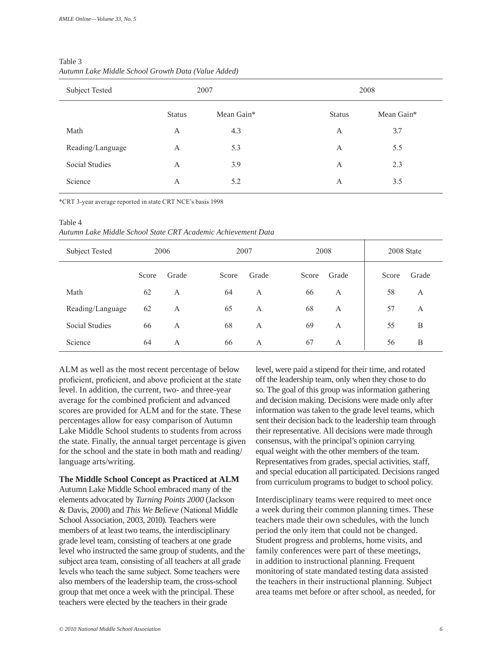| <b>Subject Tested</b> |               | 2007       | 2008          |            |  |  |  |  |
|-----------------------|---------------|------------|---------------|------------|--|--|--|--|
|                       | <b>Status</b> | Mean Gain* | <b>Status</b> | Mean Gain* |  |  |  |  |
| Math                  | A             | 4.3        | А             | 3.7        |  |  |  |  |
| Reading/Language      | A             | 5.3        | A             | 5.5        |  |  |  |  |
| Social Studies        | A             | 3.9        | A             | 2.3        |  |  |  |  |
| Science               | А             | 5.2        | A             | 3.5        |  |  |  |  |

#### Table 3 *Autumn Lake Middle School Growth Data (Value Added)*

\*CRT 3-year average reported in state CRT NCE's basis 1998

#### Table 4

*Autumn Lake Middle School State CRT Academic Achievement Data*

| <b>Subject Tested</b> |       | 2006  |       | 2007  | 2008  |       | 2008 State |       |  |  |  |
|-----------------------|-------|-------|-------|-------|-------|-------|------------|-------|--|--|--|
|                       | Score | Grade | Score | Grade | Score | Grade | Score      | Grade |  |  |  |
| Math                  | 62    | A     | 64    | A     | 66    | A     | 58         | A     |  |  |  |
| Reading/Language      | 62    | A     | 65    | A     | 68    | А     | 57         | A     |  |  |  |
| <b>Social Studies</b> | 66    | A     | 68    | A     | 69    | A     | 55         | B     |  |  |  |
| Science               | 64    | A     | 66    | A     | 67    | A     | 56         | B     |  |  |  |

ALM as well as the most recent percentage of below proficient, proficient, and above proficient at the state level. In addition, the current, two- and three-year average for the combined proficient and advanced scores are provided for ALM and for the state. These percentages allow for easy comparison of Autumn Lake Middle School students to students from across the state. Finally, the annual target percentage is given for the school and the state in both math and reading/ language arts/writing.

### **The Middle School Concept as Practiced at ALM**

Autumn Lake Middle School embraced many of the elements advocated by *Turning Points 2000* (Jackson & Davis, 2000) and *This We Believe* (National Middle School Association, 2003, 2010). Teachers were members of at least two teams, the interdisciplinary grade level team, consisting of teachers at one grade level who instructed the same group of students, and the subject area team, consisting of all teachers at all grade levels who teach the same subject. Some teachers were also members of the leadership team, the cross-school group that met once a week with the principal. These teachers were elected by the teachers in their grade

level, were paid a stipend for their time, and rotated off the leadership team, only when they chose to do so. The goal of this group was information gathering and decision making. Decisions were made only after information was taken to the grade level teams, which sent their decision back to the leadership team through their representative. All decisions were made through consensus, with the principal's opinion carrying equal weight with the other members of the team. Representatives from grades, special activities, staff, and special education all participated. Decisions ranged from curriculum programs to budget to school policy.

Interdisciplinary teams were required to meet once a week during their common planning times. These teachers made their own schedules, with the lunch period the only item that could not be changed. Student progress and problems, home visits, and family conferences were part of these meetings, in addition to instructional planning. Frequent monitoring of state mandated testing data assisted the teachers in their instructional planning. Subject area teams met before or after school, as needed, for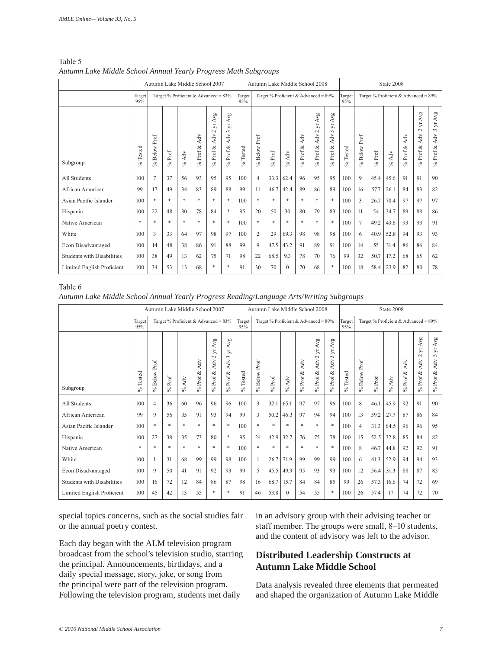| Table 5                                                         |  |
|-----------------------------------------------------------------|--|
| Autumn Lake Middle School Annual Yearly Progress Math Subgroups |  |

|                                   | Autumn Lake Middle School 2007 |                                         |            |                   |                                    |                                                  |                                                              | Autumn Lake Middle School 2008 |                                         |           |                  |                                  |                                                  |                                                      | State 2008           |                                               |           |                  |                                      |                                                 |                                                                            |  |
|-----------------------------------|--------------------------------|-----------------------------------------|------------|-------------------|------------------------------------|--------------------------------------------------|--------------------------------------------------------------|--------------------------------|-----------------------------------------|-----------|------------------|----------------------------------|--------------------------------------------------|------------------------------------------------------|----------------------|-----------------------------------------------|-----------|------------------|--------------------------------------|-------------------------------------------------|----------------------------------------------------------------------------|--|
|                                   | Target<br>95%                  | Target % Proficient & Advanced = $83\%$ |            |                   |                                    |                                                  |                                                              | Target<br>95%                  | Target % Proficient & Advanced = $89\%$ |           |                  |                                  |                                                  |                                                      | Target<br>95%        | Target % Proficient & Advanced = $89\%$       |           |                  |                                      |                                                 |                                                                            |  |
| Subgroup                          | Tested<br>$\%$                 | Prof<br>Below<br>$\geqslant$            | $9/6$ Prof | Adv<br>$\lesssim$ | Adv<br>ళ<br>Prof.<br>$\mathscr{S}$ | Avg<br>$\Sigma$<br>$\sim$<br>Adv<br>$%$ Prof $&$ | Avg<br>$\overline{y}$<br>$\sim$<br>Ådv<br>ళ<br>Prof.<br>$\%$ | Tested<br>$\lesssim$           | Prof<br><b>Below</b><br>$\%$            | $\%$ Prof | Adv<br>$\approx$ | Adv<br>ళ<br>Prof.<br>$\geqslant$ | Avg<br>$\Sigma$<br>$\sim$<br>Adv<br>$%$ Prof $&$ | Avg<br>$\geq$<br>$\sim$<br>Ådv<br>ళ<br>Prof.<br>$\%$ | Tested<br>$\lesssim$ | Prof<br><b>Below</b><br>$\mathcal{S}^{\circ}$ | $\%$ Prof | Adv<br>$\approx$ | ਠੇ<br>≺<br>ళ<br>Prof.<br>$\geqslant$ | Avg<br>$\Sigma$<br>$\sim$<br>Adv<br>ళ<br>% Prof | Avg<br>$\geq$<br>$\sim$<br>Adv<br>ళ<br>Prof.<br>$\mathcal{S}_{\mathsf{0}}$ |  |
| All Students                      | 100                            | $\overline{7}$                          | 37         | 56                | 93                                 | 95                                               | 95                                                           | 100                            | $\overline{4}$                          | 33.3      | 62.4             | 96                               | 95                                               | 95                                                   | 100                  | 9                                             | 45.4      | 45.6             | 91                                   | 91                                              | 90                                                                         |  |
| African American                  | 99                             | 17                                      | 49         | 34                | 83                                 | 89                                               | 88                                                           | 99                             | 11                                      | 46.7      | 42.4             | 89                               | 86                                               | 89                                                   | 100                  | 16                                            | 57.7      | 26.1             | 84                                   | 83                                              | 82                                                                         |  |
| Asian Pacific Islander            | 100                            | *                                       | *          | $\ast$            | *                                  | *                                                | *                                                            | 100                            | *                                       | $\ast$    | $\ast$           | $\ast$                           | *                                                | $\ast$                                               | 100                  | 3                                             | 26.7      | 70.4             | 97                                   | 97                                              | 97                                                                         |  |
| Hispanic                          | 100                            | 22                                      | 48         | 30                | 78                                 | 84                                               | *                                                            | 95                             | 20                                      | 50        | 30               | 80                               | 79                                               | 83                                                   | 100                  | 11                                            | 54        | 34.7             | 89                                   | 88                                              | 86                                                                         |  |
| Native American                   | $\ast$                         | $\ast$                                  | $\ast$     | $\ast$            | $\ast$                             | $\ast$                                           | $\ast$                                                       | 100                            | $\ast$                                  | $*$       | $\ast$           | $\ast$                           | $\ast$                                           | $\ast$                                               | 100                  | $\overline{7}$                                | 49.2      | 43.6             | 93                                   | 93                                              | 91                                                                         |  |
| White                             | 100                            | 3                                       | 33         | 64                | 97                                 | 98                                               | 97                                                           | 100                            | $\overline{2}$                          | 29        | 69.3             | 98                               | 98                                               | 98                                                   | 100                  | 6                                             | 40.9      | 52.8             | 94                                   | 93                                              | 93                                                                         |  |
| Econ Disadvantaged                | 100                            | 14                                      | 48         | 38                | 86                                 | 91                                               | 88                                                           | 99                             | 9                                       | 47.5      | 43.2             | 91                               | 89                                               | 91                                                   | 100                  | 14                                            | 55        | 31.4             | 86                                   | 86                                              | 84                                                                         |  |
| <b>Students with Disabilities</b> | 100                            | 38                                      | 49         | 13                | 62                                 | 75                                               | 71                                                           | 98                             | 22                                      | 68.5      | 9.3              | 78                               | 70                                               | 76                                                   | 99                   | 32                                            | 50.7      | 17.2             | 68                                   | 65                                              | 62                                                                         |  |
| Limited English Proficient        | 100                            | 34                                      | 53         | 13                | 68                                 | *                                                | *                                                            | 91                             | 30                                      | 70        | $\Omega$         | 70                               | 68                                               | *                                                    | 100                  | 18                                            | 58.4      | 23.9             | 82                                   | 80                                              | 78                                                                         |  |

Table 6

*Autumn Lake Middle School Annual Yearly Progress Reading/Language Arts/Writing Subgroups*

|                                   | Autumn Lake Middle School 2007 |                                         |           |                             |                   |                                           |                                                                  |                                | Autumn Lake Middle School 2008<br>State 2008 |           |          |                               |                                      |                                                           |                                         |                               |           |       |                   |                                                       |                                                              |
|-----------------------------------|--------------------------------|-----------------------------------------|-----------|-----------------------------|-------------------|-------------------------------------------|------------------------------------------------------------------|--------------------------------|----------------------------------------------|-----------|----------|-------------------------------|--------------------------------------|-----------------------------------------------------------|-----------------------------------------|-------------------------------|-----------|-------|-------------------|-------------------------------------------------------|--------------------------------------------------------------|
|                                   | Target<br>95%                  | Target % Proficient & Advanced = $83\%$ |           |                             |                   |                                           |                                                                  | Target<br>95%                  | Target % Proficient & Advanced = $89\%$      |           |          |                               |                                      | Target<br>95%                                             | Target % Proficient & Advanced = $89\%$ |                               |           |       |                   |                                                       |                                                              |
| Subgroup                          | Tested<br>$\frac{1}{6}$        | Prof<br>Below<br>$\asymp$               | $\%$ Prof | Adv<br>$\frac{1}{\sqrt{2}}$ | Ådv<br>$%$ Prof & | Avg<br>Þ.<br>$\sim$<br>Adv<br>% Prof $\&$ | $\Delta v g$<br>$\geq$<br>$\sim$<br>Adv<br>Prof &<br>$\geqslant$ | Tested<br>$\frac{1}{\sqrt{6}}$ | Prof<br>Below<br>$\geqslant$                 | $\%$ Prof | % Adv    | Ad <sub>v</sub><br>$%$ Prof & | Avg<br>$2yr$ .<br>Adv<br>$\%$ Prof & | Avg<br>$\Sigma$<br>$\sim$<br>Adv<br>Prof &<br>$\geqslant$ | Tested<br>$\approx$                     | Prof<br>Below<br>$\mathbb{R}$ | $\%$ Prof | % Adv | Adv<br>$%$ Prof & | Avg<br>$\overline{y}$<br>$\sim$<br>Adv<br>% Prof $\&$ | Avg<br>$\overline{y}$<br>$\sim$<br>Adv<br>శ<br>Prof.<br>$\%$ |
| All Students                      | 100                            | $\overline{4}$                          | 36        | 60                          | 96                | 96                                        | 96                                                               | 100                            | 3                                            | 32.1      | 65.1     | 97                            | 97                                   | 96                                                        | 100                                     | 8                             | 46.1      | 45.9  | 92                | 91                                                    | 90                                                           |
| African American                  | 99                             | 9                                       | 56        | 35                          | 91                | 93                                        | 94                                                               | 99                             | 3                                            | 50.2      | 46.3     | 97                            | 94                                   | 94                                                        | 100                                     | 13                            | 59.2      | 27.7  | 87                | 86                                                    | 84                                                           |
| Asian Pacific Islander            | 100                            | *                                       | $\ast$    | $\ast$                      | $\ast$            | *                                         | $\ast$                                                           | 100                            | $\ast$                                       | $\ast$    | $\ast$   | $\ast$                        | *                                    | *                                                         | 100                                     | $\overline{4}$                | 31.3      | 64.5  | 96                | 96                                                    | 95                                                           |
| Hispanic                          | 100                            | 27                                      | 38        | 35                          | 73                | 80                                        | $\ast$                                                           | 95                             | 24                                           | 42.9      | 32.7     | 76                            | 75                                   | 78                                                        | 100                                     | 15                            | 52.5      | 32.8  | 85                | 84                                                    | 82                                                           |
| Native American                   | $\ast$                         | $\ast$                                  | $\ast$    | $\ast$                      | $\ast$            | $*$                                       | $\ast$                                                           | 100                            | $\ast$                                       | $\ast$    | $\ast$   | $\ast$                        | $\ast$                               | $\ast$                                                    | 100                                     | 8                             | 46.7      | 44.8  | 92                | 92                                                    | 91                                                           |
| White                             | 100                            |                                         | 31        | 68                          | 99                | 99                                        | 98                                                               | 100                            | 1                                            | 26.7      | 71.9     | 99                            | 99                                   | 99                                                        | 100                                     | 6                             | 41.3      | 52.9  | 94                | 94                                                    | 93                                                           |
| Econ Disadvantaged                | 100                            | 9                                       | 50        | 41                          | 91                | 92                                        | 93                                                               | 99                             | 5                                            | 45.5      | 49.3     | 95                            | 93                                   | 93                                                        | 100                                     | 12                            | 56.4      | 31.3  | 88                | 87                                                    | 85                                                           |
| <b>Students with Disabilities</b> | 100                            | 16                                      | 72        | 12                          | 84                | 86                                        | 87                                                               | 98                             | 16                                           | 68.7      | 15.7     | 84                            | 84                                   | 85                                                        | 99                                      | 26                            | 57.3      | 16.6  | 74                | 72                                                    | 69                                                           |
| Limited English Proficient        | 100                            | 45                                      | 42        | 13                          | 55                | $\ast$                                    | $\ast$                                                           | 91                             | 46                                           | 53.8      | $\theta$ | 54                            | 55                                   | $\ast$                                                    | 100                                     | 26                            | 57.4      | 17    | 74                | 72                                                    | 70                                                           |

special topics concerns, such as the social studies fair or the annual poetry contest.

Each day began with the ALM television program broadcast from the school's television studio, starring the principal. Announcements, birthdays, and a daily special message, story, joke, or song from the principal were part of the television program. Following the television program, students met daily

in an advisory group with their advising teacher or staff member. The groups were small, 8–10 students, and the content of advisory was left to the advisor.

# **Distributed Leadership Constructs at Autumn Lake Middle School**

Data analysis revealed three elements that permeated and shaped the organization of Autumn Lake Middle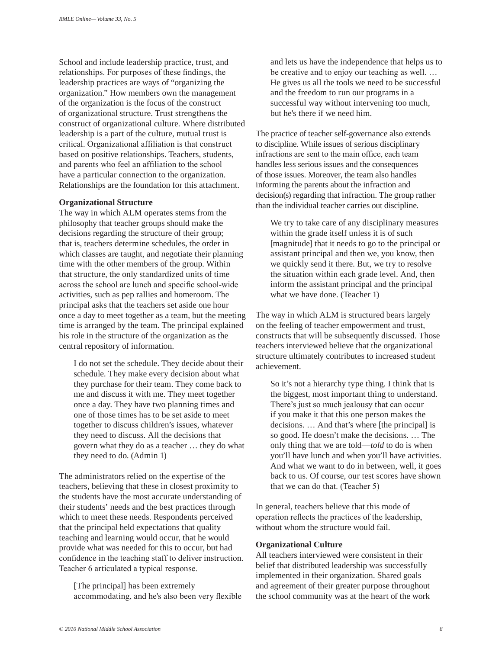School and include leadership practice, trust, and relationships. For purposes of these findings, the leadership practices are ways of "organizing the organization." How members own the management of the organization is the focus of the construct of organizational structure. Trust strengthens the construct of organizational culture. Where distributed leadership is a part of the culture, mutual trust is critical. Organizational affiliation is that construct based on positive relationships. Teachers, students, and parents who feel an affiliation to the school have a particular connection to the organization. Relationships are the foundation for this attachment.

### **Organizational Structure**

The way in which ALM operates stems from the philosophy that teacher groups should make the decisions regarding the structure of their group; that is, teachers determine schedules, the order in which classes are taught, and negotiate their planning time with the other members of the group. Within that structure, the only standardized units of time across the school are lunch and specific school-wide activities, such as pep rallies and homeroom. The principal asks that the teachers set aside one hour once a day to meet together as a team, but the meeting time is arranged by the team. The principal explained his role in the structure of the organization as the central repository of information.

I do not set the schedule. They decide about their schedule. They make every decision about what they purchase for their team. They come back to me and discuss it with me. They meet together once a day. They have two planning times and one of those times has to be set aside to meet together to discuss children's issues, whatever they need to discuss. All the decisions that govern what they do as a teacher … they do what they need to do. (Admin 1)

The administrators relied on the expertise of the teachers, believing that these in closest proximity to the students have the most accurate understanding of their students' needs and the best practices through which to meet these needs. Respondents perceived that the principal held expectations that quality teaching and learning would occur, that he would provide what was needed for this to occur, but had confidence in the teaching staff to deliver instruction. Teacher 6 articulated a typical response.

[The principal] has been extremely accommodating, and he's also been very flexible

and lets us have the independence that helps us to be creative and to enjoy our teaching as well. … He gives us all the tools we need to be successful and the freedom to run our programs in a successful way without intervening too much, but he's there if we need him.

The practice of teacher self-governance also extends to discipline. While issues of serious disciplinary infractions are sent to the main office, each team handles less serious issues and the consequences of those issues. Moreover, the team also handles informing the parents about the infraction and decision(s) regarding that infraction. The group rather than the individual teacher carries out discipline.

We try to take care of any disciplinary measures within the grade itself unless it is of such [magnitude] that it needs to go to the principal or assistant principal and then we, you know, then we quickly send it there. But, we try to resolve the situation within each grade level. And, then inform the assistant principal and the principal what we have done. (Teacher 1)

The way in which ALM is structured bears largely on the feeling of teacher empowerment and trust, constructs that will be subsequently discussed. Those teachers interviewed believe that the organizational structure ultimately contributes to increased student achievement.

So it's not a hierarchy type thing. I think that is the biggest, most important thing to understand. There's just so much jealousy that can occur if you make it that this one person makes the decisions. … And that's where [the principal] is so good. He doesn't make the decisions. … The only thing that we are told—*told* to do is when you'll have lunch and when you'll have activities. And what we want to do in between, well, it goes back to us. Of course, our test scores have shown that we can do that. (Teacher 5)

In general, teachers believe that this mode of operation reflects the practices of the leadership, without whom the structure would fail.

### **Organizational Culture**

All teachers interviewed were consistent in their belief that distributed leadership was successfully implemented in their organization. Shared goals and agreement of their greater purpose throughout the school community was at the heart of the work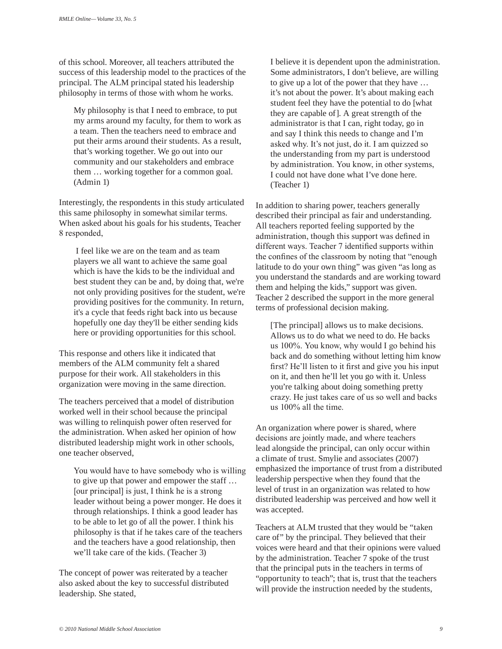of this school. Moreover, all teachers attributed the success of this leadership model to the practices of the principal. The ALM principal stated his leadership philosophy in terms of those with whom he works.

My philosophy is that I need to embrace, to put my arms around my faculty, for them to work as a team. Then the teachers need to embrace and put their arms around their students. As a result, that's working together. We go out into our community and our stakeholders and embrace them … working together for a common goal. (Admin 1)

Interestingly, the respondents in this study articulated this same philosophy in somewhat similar terms. When asked about his goals for his students, Teacher 8 responded,

 I feel like we are on the team and as team players we all want to achieve the same goal which is have the kids to be the individual and best student they can be and, by doing that, we're not only providing positives for the student, we're providing positives for the community. In return, it's a cycle that feeds right back into us because hopefully one day they'll be either sending kids here or providing opportunities for this school.

This response and others like it indicated that members of the ALM community felt a shared purpose for their work. All stakeholders in this organization were moving in the same direction.

The teachers perceived that a model of distribution worked well in their school because the principal was willing to relinquish power often reserved for the administration. When asked her opinion of how distributed leadership might work in other schools, one teacher observed,

You would have to have somebody who is willing to give up that power and empower the staff … [our principal] is just, I think he is a strong leader without being a power monger. He does it through relationships. I think a good leader has to be able to let go of all the power. I think his philosophy is that if he takes care of the teachers and the teachers have a good relationship, then we'll take care of the kids. (Teacher 3)

The concept of power was reiterated by a teacher also asked about the key to successful distributed leadership. She stated,

I believe it is dependent upon the administration. Some administrators, I don't believe, are willing to give up a lot of the power that they have … it's not about the power. It's about making each student feel they have the potential to do [what they are capable of]. A great strength of the administrator is that I can, right today, go in and say I think this needs to change and I'm asked why. It's not just, do it. I am quizzed so the understanding from my part is understood by administration. You know, in other systems, I could not have done what I've done here. (Teacher 1)

In addition to sharing power, teachers generally described their principal as fair and understanding. All teachers reported feeling supported by the administration, though this support was defined in different ways. Teacher 7 identified supports within the confines of the classroom by noting that "enough latitude to do your own thing" was given "as long as you understand the standards and are working toward them and helping the kids," support was given. Teacher 2 described the support in the more general terms of professional decision making.

[The principal] allows us to make decisions. Allows us to do what we need to do. He backs us 100%. You know, why would I go behind his back and do something without letting him know first? He'll listen to it first and give you his input on it, and then he'll let you go with it. Unless you're talking about doing something pretty crazy. He just takes care of us so well and backs us 100% all the time.

An organization where power is shared, where decisions are jointly made, and where teachers lead alongside the principal, can only occur within a climate of trust. Smylie and associates (2007) emphasized the importance of trust from a distributed leadership perspective when they found that the level of trust in an organization was related to how distributed leadership was perceived and how well it was accepted.

Teachers at ALM trusted that they would be "taken care of" by the principal. They believed that their voices were heard and that their opinions were valued by the administration. Teacher 7 spoke of the trust that the principal puts in the teachers in terms of "opportunity to teach"; that is, trust that the teachers will provide the instruction needed by the students,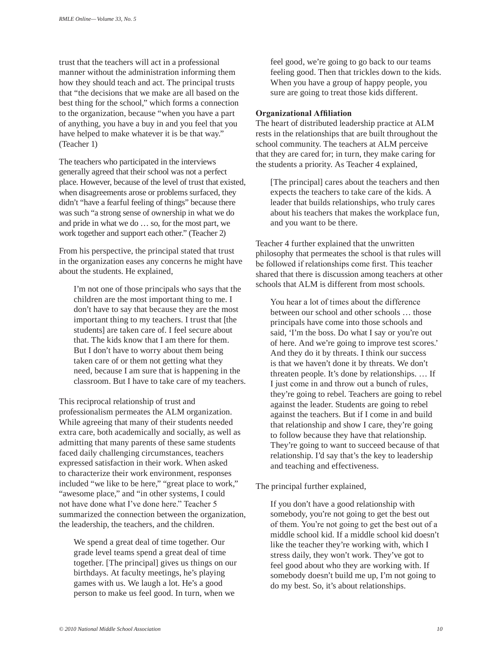trust that the teachers will act in a professional manner without the administration informing them how they should teach and act. The principal trusts that "the decisions that we make are all based on the best thing for the school," which forms a connection to the organization, because "when you have a part of anything, you have a buy in and you feel that you have helped to make whatever it is be that way." (Teacher 1)

The teachers who participated in the interviews generally agreed that their school was not a perfect place. However, because of the level of trust that existed, when disagreements arose or problems surfaced, they didn't "have a fearful feeling of things" because there was such "a strong sense of ownership in what we do and pride in what we do … so, for the most part, we work together and support each other." (Teacher 2)

From his perspective, the principal stated that trust in the organization eases any concerns he might have about the students. He explained,

I'm not one of those principals who says that the children are the most important thing to me. I don't have to say that because they are the most important thing to my teachers. I trust that [the students] are taken care of. I feel secure about that. The kids know that I am there for them. But I don't have to worry about them being taken care of or them not getting what they need, because I am sure that is happening in the classroom. But I have to take care of my teachers.

This reciprocal relationship of trust and professionalism permeates the ALM organization. While agreeing that many of their students needed extra care, both academically and socially, as well as admitting that many parents of these same students faced daily challenging circumstances, teachers expressed satisfaction in their work. When asked to characterize their work environment, responses included "we like to be here," "great place to work," "awesome place," and "in other systems, I could not have done what I've done here." Teacher 5 summarized the connection between the organization, the leadership, the teachers, and the children.

We spend a great deal of time together. Our grade level teams spend a great deal of time together. [The principal] gives us things on our birthdays. At faculty meetings, he's playing games with us. We laugh a lot. He's a good person to make us feel good. In turn, when we

feel good, we're going to go back to our teams feeling good. Then that trickles down to the kids. When you have a group of happy people, you sure are going to treat those kids different.

### **Organizational Affiliation**

The heart of distributed leadership practice at ALM rests in the relationships that are built throughout the school community. The teachers at ALM perceive that they are cared for; in turn, they make caring for the students a priority. As Teacher 4 explained,

[The principal] cares about the teachers and then expects the teachers to take care of the kids. A leader that builds relationships, who truly cares about his teachers that makes the workplace fun, and you want to be there.

Teacher 4 further explained that the unwritten philosophy that permeates the school is that rules will be followed if relationships come first. This teacher shared that there is discussion among teachers at other schools that ALM is different from most schools.

You hear a lot of times about the difference between our school and other schools … those principals have come into those schools and said, 'I'm the boss. Do what I say or you're out of here. And we're going to improve test scores.' And they do it by threats. I think our success is that we haven't done it by threats. We don't threaten people. It's done by relationships. … If I just come in and throw out a bunch of rules, they're going to rebel. Teachers are going to rebel against the leader. Students are going to rebel against the teachers. But if I come in and build that relationship and show I care, they're going to follow because they have that relationship. They're going to want to succeed because of that relationship. I'd say that's the key to leadership and teaching and effectiveness.

The principal further explained,

If you don't have a good relationship with somebody, you're not going to get the best out of them. You're not going to get the best out of a middle school kid. If a middle school kid doesn't like the teacher they're working with, which I stress daily, they won't work. They've got to feel good about who they are working with. If somebody doesn't build me up, I'm not going to do my best. So, it's about relationships.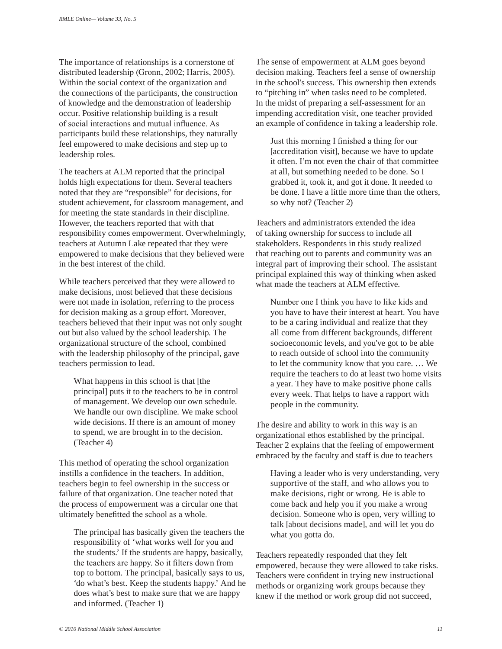The importance of relationships is a cornerstone of distributed leadership (Gronn, 2002; Harris, 2005). Within the social context of the organization and the connections of the participants, the construction of knowledge and the demonstration of leadership occur. Positive relationship building is a result of social interactions and mutual influence. As participants build these relationships, they naturally feel empowered to make decisions and step up to leadership roles.

The teachers at ALM reported that the principal holds high expectations for them. Several teachers noted that they are "responsible" for decisions, for student achievement, for classroom management, and for meeting the state standards in their discipline. However, the teachers reported that with that responsibility comes empowerment. Overwhelmingly, teachers at Autumn Lake repeated that they were empowered to make decisions that they believed were in the best interest of the child.

While teachers perceived that they were allowed to make decisions, most believed that these decisions were not made in isolation, referring to the process for decision making as a group effort. Moreover, teachers believed that their input was not only sought out but also valued by the school leadership. The organizational structure of the school, combined with the leadership philosophy of the principal, gave teachers permission to lead.

What happens in this school is that [the principal] puts it to the teachers to be in control of management. We develop our own schedule. We handle our own discipline. We make school wide decisions. If there is an amount of money to spend, we are brought in to the decision. (Teacher 4)

This method of operating the school organization instills a confidence in the teachers. In addition, teachers begin to feel ownership in the success or failure of that organization. One teacher noted that the process of empowerment was a circular one that ultimately benefitted the school as a whole.

The principal has basically given the teachers the responsibility of 'what works well for you and the students.' If the students are happy, basically, the teachers are happy. So it filters down from top to bottom. The principal, basically says to us, 'do what's best. Keep the students happy.' And he does what's best to make sure that we are happy and informed. (Teacher 1)

The sense of empowerment at ALM goes beyond decision making. Teachers feel a sense of ownership in the school's success. This ownership then extends to "pitching in" when tasks need to be completed. In the midst of preparing a self-assessment for an impending accreditation visit, one teacher provided an example of confidence in taking a leadership role.

Just this morning I finished a thing for our [accreditation visit], because we have to update it often. I'm not even the chair of that committee at all, but something needed to be done. So I grabbed it, took it, and got it done. It needed to be done. I have a little more time than the others, so why not? (Teacher 2)

Teachers and administrators extended the idea of taking ownership for success to include all stakeholders. Respondents in this study realized that reaching out to parents and community was an integral part of improving their school. The assistant principal explained this way of thinking when asked what made the teachers at ALM effective.

Number one I think you have to like kids and you have to have their interest at heart. You have to be a caring individual and realize that they all come from different backgrounds, different socioeconomic levels, and you've got to be able to reach outside of school into the community to let the community know that you care. … We require the teachers to do at least two home visits a year. They have to make positive phone calls every week. That helps to have a rapport with people in the community.

The desire and ability to work in this way is an organizational ethos established by the principal. Teacher 2 explains that the feeling of empowerment embraced by the faculty and staff is due to teachers

Having a leader who is very understanding, very supportive of the staff, and who allows you to make decisions, right or wrong. He is able to come back and help you if you make a wrong decision. Someone who is open, very willing to talk [about decisions made], and will let you do what you gotta do.

Teachers repeatedly responded that they felt empowered, because they were allowed to take risks. Teachers were confident in trying new instructional methods or organizing work groups because they knew if the method or work group did not succeed,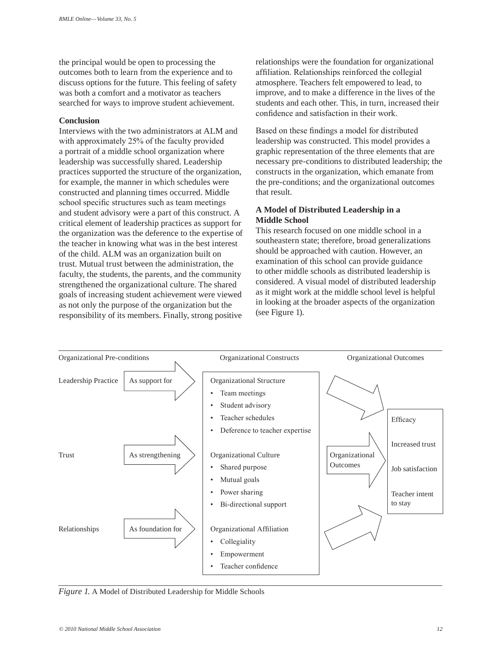the principal would be open to processing the outcomes both to learn from the experience and to discuss options for the future. This feeling of safety was both a comfort and a motivator as teachers searched for ways to improve student achievement.

### **Conclusion**

Interviews with the two administrators at ALM and with approximately 25% of the faculty provided a portrait of a middle school organization where leadership was successfully shared. Leadership practices supported the structure of the organization, for example, the manner in which schedules were constructed and planning times occurred. Middle school specific structures such as team meetings and student advisory were a part of this construct. A critical element of leadership practices as support for the organization was the deference to the expertise of the teacher in knowing what was in the best interest of the child. ALM was an organization built on trust. Mutual trust between the administration, the faculty, the students, the parents, and the community strengthened the organizational culture. The shared goals of increasing student achievement were viewed as not only the purpose of the organization but the responsibility of its members. Finally, strong positive

relationships were the foundation for organizational affiliation. Relationships reinforced the collegial atmosphere. Teachers felt empowered to lead, to improve, and to make a difference in the lives of the students and each other. This, in turn, increased their confidence and satisfaction in their work.

Based on these findings a model for distributed leadership was constructed. This model provides a graphic representation of the three elements that are necessary pre-conditions to distributed leadership; the constructs in the organization, which emanate from the pre-conditions; and the organizational outcomes that result.

## **A Model of Distributed Leadership in a Middle School**

This research focused on one middle school in a southeastern state; therefore, broad generalizations should be approached with caution. However, an examination of this school can provide guidance to other middle schools as distributed leadership is considered. A visual model of distributed leadership as it might work at the middle school level is helpful in looking at the broader aspects of the organization (see Figure 1).



*Figure 1.* A Model of Distributed Leadership for Middle Schools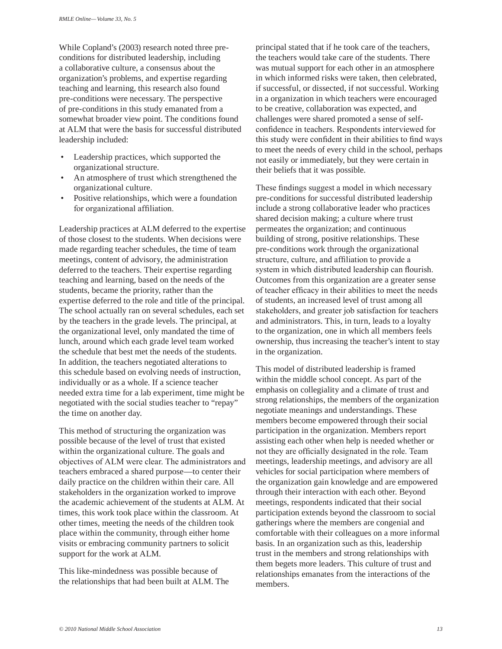While Copland's (2003) research noted three preconditions for distributed leadership, including a collaborative culture, a consensus about the organization's problems, and expertise regarding teaching and learning, this research also found pre-conditions were necessary. The perspective of pre-conditions in this study emanated from a somewhat broader view point. The conditions found at ALM that were the basis for successful distributed leadership included:

- Leadership practices, which supported the organizational structure.
- An atmosphere of trust which strengthened the organizational culture.
- Positive relationships, which were a foundation for organizational affiliation.

Leadership practices at ALM deferred to the expertise of those closest to the students. When decisions were made regarding teacher schedules, the time of team meetings, content of advisory, the administration deferred to the teachers. Their expertise regarding teaching and learning, based on the needs of the students, became the priority, rather than the expertise deferred to the role and title of the principal. The school actually ran on several schedules, each set by the teachers in the grade levels. The principal, at the organizational level, only mandated the time of lunch, around which each grade level team worked the schedule that best met the needs of the students. In addition, the teachers negotiated alterations to this schedule based on evolving needs of instruction, individually or as a whole. If a science teacher needed extra time for a lab experiment, time might be negotiated with the social studies teacher to "repay" the time on another day.

This method of structuring the organization was possible because of the level of trust that existed within the organizational culture. The goals and objectives of ALM were clear. The administrators and teachers embraced a shared purpose—to center their daily practice on the children within their care. All stakeholders in the organization worked to improve the academic achievement of the students at ALM. At times, this work took place within the classroom. At other times, meeting the needs of the children took place within the community, through either home visits or embracing community partners to solicit support for the work at ALM.

This like-mindedness was possible because of the relationships that had been built at ALM. The principal stated that if he took care of the teachers, the teachers would take care of the students. There was mutual support for each other in an atmosphere in which informed risks were taken, then celebrated, if successful, or dissected, if not successful. Working in a organization in which teachers were encouraged to be creative, collaboration was expected, and challenges were shared promoted a sense of selfconfidence in teachers. Respondents interviewed for this study were confident in their abilities to find ways to meet the needs of every child in the school, perhaps not easily or immediately, but they were certain in their beliefs that it was possible.

These findings suggest a model in which necessary pre-conditions for successful distributed leadership include a strong collaborative leader who practices shared decision making; a culture where trust permeates the organization; and continuous building of strong, positive relationships. These pre-conditions work through the organizational structure, culture, and affiliation to provide a system in which distributed leadership can flourish. Outcomes from this organization are a greater sense of teacher efficacy in their abilities to meet the needs of students, an increased level of trust among all stakeholders, and greater job satisfaction for teachers and administrators. This, in turn, leads to a loyalty to the organization, one in which all members feels ownership, thus increasing the teacher's intent to stay in the organization.

This model of distributed leadership is framed within the middle school concept. As part of the emphasis on collegiality and a climate of trust and strong relationships, the members of the organization negotiate meanings and understandings. These members become empowered through their social participation in the organization. Members report assisting each other when help is needed whether or not they are officially designated in the role. Team meetings, leadership meetings, and advisory are all vehicles for social participation where members of the organization gain knowledge and are empowered through their interaction with each other. Beyond meetings, respondents indicated that their social participation extends beyond the classroom to social gatherings where the members are congenial and comfortable with their colleagues on a more informal basis. In an organization such as this, leadership trust in the members and strong relationships with them begets more leaders. This culture of trust and relationships emanates from the interactions of the members.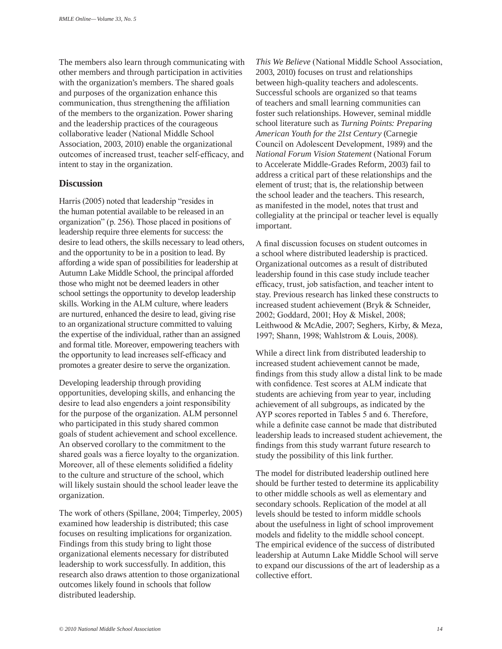The members also learn through communicating with other members and through participation in activities with the organization's members. The shared goals and purposes of the organization enhance this communication, thus strengthening the affiliation of the members to the organization. Power sharing and the leadership practices of the courageous collaborative leader (National Middle School Association, 2003, 2010) enable the organizational outcomes of increased trust, teacher self-efficacy, and intent to stay in the organization.

### **Discussion**

Harris (2005) noted that leadership "resides in the human potential available to be released in an organization" (p. 256). Those placed in positions of leadership require three elements for success: the desire to lead others, the skills necessary to lead others, and the opportunity to be in a position to lead. By affording a wide span of possibilities for leadership at Autumn Lake Middle School, the principal afforded those who might not be deemed leaders in other school settings the opportunity to develop leadership skills. Working in the ALM culture, where leaders are nurtured, enhanced the desire to lead, giving rise to an organizational structure committed to valuing the expertise of the individual, rather than an assigned and formal title. Moreover, empowering teachers with the opportunity to lead increases self-efficacy and promotes a greater desire to serve the organization.

Developing leadership through providing opportunities, developing skills, and enhancing the desire to lead also engenders a joint responsibility for the purpose of the organization. ALM personnel who participated in this study shared common goals of student achievement and school excellence. An observed corollary to the commitment to the shared goals was a fierce loyalty to the organization. Moreover, all of these elements solidified a fidelity to the culture and structure of the school, which will likely sustain should the school leader leave the organization.

The work of others (Spillane, 2004; Timperley, 2005) examined how leadership is distributed; this case focuses on resulting implications for organization. Findings from this study bring to light those organizational elements necessary for distributed leadership to work successfully. In addition, this research also draws attention to those organizational outcomes likely found in schools that follow distributed leadership.

*This We Believe* (National Middle School Association, 2003, 2010) focuses on trust and relationships between high-quality teachers and adolescents. Successful schools are organized so that teams of teachers and small learning communities can foster such relationships. However, seminal middle school literature such as *Turning Points: Preparing American Youth for the 21st Century* (Carnegie Council on Adolescent Development, 1989) and the *National Forum Vision Statement* (National Forum to Accelerate Middle-Grades Reform, 2003) fail to address a critical part of these relationships and the element of trust; that is, the relationship between the school leader and the teachers. This research, as manifested in the model, notes that trust and collegiality at the principal or teacher level is equally important.

A final discussion focuses on student outcomes in a school where distributed leadership is practiced. Organizational outcomes as a result of distributed leadership found in this case study include teacher efficacy, trust, job satisfaction, and teacher intent to stay. Previous research has linked these constructs to increased student achievement (Bryk & Schneider, 2002; Goddard, 2001; Hoy & Miskel, 2008; Leithwood & McAdie, 2007; Seghers, Kirby, & Meza, 1997; Shann, 1998; Wahlstrom & Louis, 2008).

While a direct link from distributed leadership to increased student achievement cannot be made, findings from this study allow a distal link to be made with confidence. Test scores at ALM indicate that students are achieving from year to year, including achievement of all subgroups, as indicated by the AYP scores reported in Tables 5 and 6. Therefore, while a definite case cannot be made that distributed leadership leads to increased student achievement, the findings from this study warrant future research to study the possibility of this link further.

The model for distributed leadership outlined here should be further tested to determine its applicability to other middle schools as well as elementary and secondary schools. Replication of the model at all levels should be tested to inform middle schools about the usefulness in light of school improvement models and fidelity to the middle school concept. The empirical evidence of the success of distributed leadership at Autumn Lake Middle School will serve to expand our discussions of the art of leadership as a collective effort.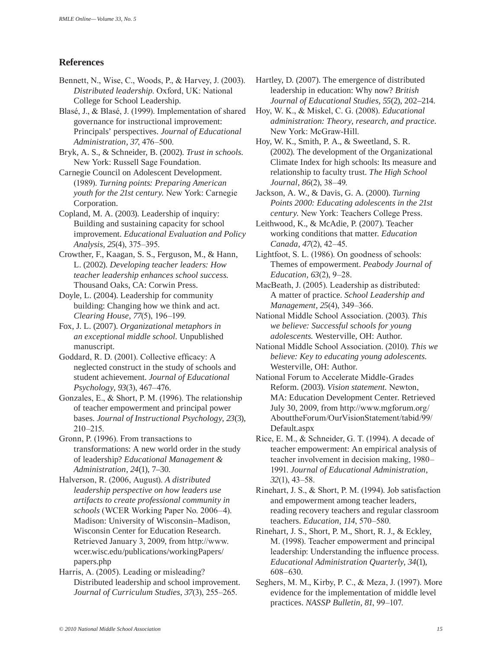# **References**

- Bennett, N., Wise, C., Woods, P., & Harvey, J. (2003). *Distributed leadership*. Oxford, UK: National College for School Leadership.
- Blasé, J., & Blasé, J. (1999). Implementation of shared governance for instructional improvement: Principals' perspectives. *Journal of Educational Administration, 37*, 476–500.
- Bryk, A. S., & Schneider, B. (2002). *Trust in schools.* New York: Russell Sage Foundation.
- Carnegie Council on Adolescent Development. (1989). *Turning points: Preparing American youth for the 21st century.* New York: Carnegie Corporation.
- Copland, M. A. (2003). Leadership of inquiry: Building and sustaining capacity for school improvement. *Educational Evaluation and Policy Analysis, 25*(4), 375–395.
- Crowther, F., Kaagan, S. S., Ferguson, M., & Hann, L. (2002). *Developing teacher leaders: How teacher leadership enhances school success.*  Thousand Oaks, CA: Corwin Press.
- Doyle, L. (2004). Leadership for community building: Changing how we think and act. *Clearing House, 77*(5), 196–199.
- Fox, J. L. (2007). *Organizational metaphors in an exceptional middle school.* Unpublished manuscript.
- Goddard, R. D. (2001). Collective efficacy: A neglected construct in the study of schools and student achievement. *Journal of Educational Psychology, 93*(3), 467–476.
- Gonzales, E., & Short, P. M. (1996). The relationship of teacher empowerment and principal power bases. *Journal of Instructional Psychology, 23*(3), 210–215.
- Gronn, P. (1996). From transactions to transformations: A new world order in the study of leadership? *Educational Management & Administration, 24*(1), 7–30.
- Halverson, R. (2006, August). *A distributed leadership perspective on how leaders use artifacts to create professional community in schools* (WCER Working Paper No. 2006–4). Madison: University of Wisconsin–Madison, Wisconsin Center for Education Research. Retrieved January 3, 2009, from http://www. wcer.wisc.edu/publications/workingPapers/ papers.php
- Harris, A. (2005). Leading or misleading? Distributed leadership and school improvement. *Journal of Curriculum Studies, 37*(3), 255–265.
- Hartley, D. (2007). The emergence of distributed leadership in education: Why now? *British Journal of Educational Studies, 55*(2), 202–214.
- Hoy, W. K., & Miskel, C. G. (2008). *Educational administration: Theory, research, and practice.* New York: McGraw-Hill.
- Hoy, W. K., Smith, P. A., & Sweetland, S. R. (2002). The development of the Organizational Climate Index for high schools: Its measure and relationship to faculty trust. *The High School Journal, 86*(2), 38–49.
- Jackson, A. W., & Davis, G. A. (2000). *Turning Points 2000: Educating adolescents in the 21st century.* New York: Teachers College Press.
- Leithwood, K., & McAdie, P. (2007). Teacher working conditions that matter. *Education Canada, 47*(2), 42–45.
- Lightfoot, S. L. (1986). On goodness of schools: Themes of empowerment. *Peabody Journal of Education, 63*(2), 9–28.
- MacBeath, J. (2005). Leadership as distributed: A matter of practice. *School Leadership and Management, 25*(4), 349–366.
- National Middle School Association. (2003). *This we believe: Successful schools for young adolescents.* Westerville, OH: Author.
- National Middle School Association. (2010). *This we believe: Key to educating young adolescents.* Westerville, OH: Author.
- National Forum to Accelerate Middle-Grades Reform. (2003). *Vision statement.* Newton, MA: Education Development Center. Retrieved July 30, 2009, from http://www.mgforum.org/ AbouttheForum/OurVisionStatement/tabid/99/ Default.aspx
- Rice, E. M., & Schneider, G. T. (1994). A decade of teacher empowerment: An empirical analysis of teacher involvement in decision making, 1980– 1991. *Journal of Educational Administration, 32*(1), 43–58.
- Rinehart, J. S., & Short, P. M. (1994). Job satisfaction and empowerment among teacher leaders, reading recovery teachers and regular classroom teachers. *Education, 114*, 570–580.
- Rinehart, J. S., Short, P. M., Short, R. J., & Eckley, M. (1998). Teacher empowerment and principal leadership: Understanding the influence process. *Educational Administration Quarterly, 34*(1), 608–630.
- Seghers, M. M., Kirby, P. C., & Meza, J. (1997). More evidence for the implementation of middle level practices. *NASSP Bulletin, 81*, 99–107.